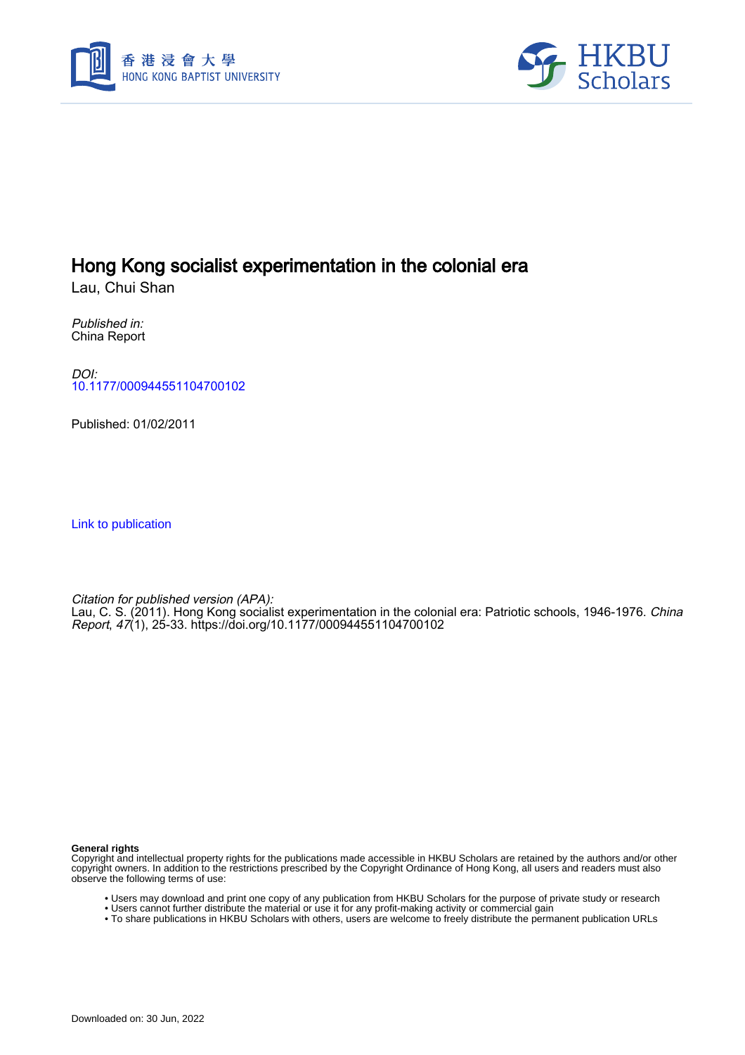



# Hong Kong socialist experimentation in the colonial era

Lau, Chui Shan

Published in: China Report

DOI: [10.1177/000944551104700102](https://doi.org/10.1177/000944551104700102)

Published: 01/02/2011

[Link to publication](https://scholars.hkbu.edu.hk/en/publications/b9e1cea3-8ac4-482f-a4e2-14a23694dc5e)

Citation for published version (APA):

Lau, C. S. (2011). Hong Kong socialist experimentation in the colonial era: Patriotic schools, 1946-1976. *China* Report, 47(1), 25-33. <https://doi.org/10.1177/000944551104700102>

**General rights**

Copyright and intellectual property rights for the publications made accessible in HKBU Scholars are retained by the authors and/or other copyright owners. In addition to the restrictions prescribed by the Copyright Ordinance of Hong Kong, all users and readers must also observe the following terms of use:

- Users may download and print one copy of any publication from HKBU Scholars for the purpose of private study or research
- Users cannot further distribute the material or use it for any profit-making activity or commercial gain
- To share publications in HKBU Scholars with others, users are welcome to freely distribute the permanent publication URLs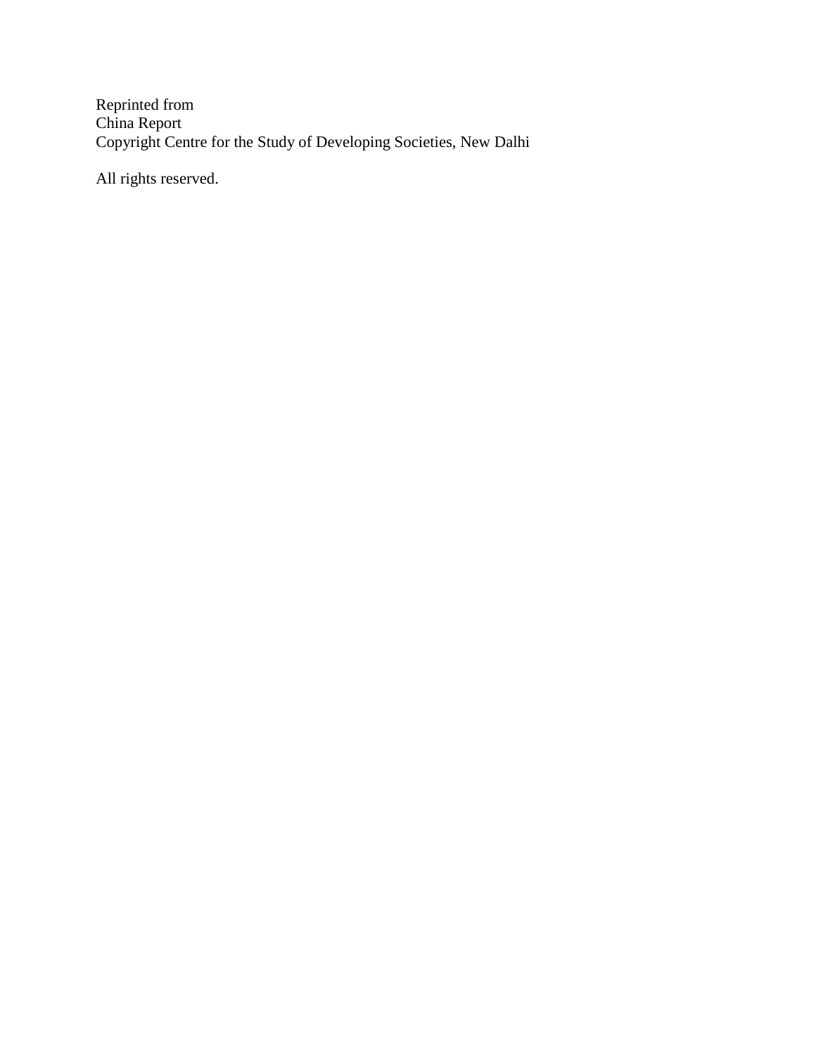Reprinted from China Report Copyright Centre for the Study of Developing Societies, New Dalhi

All rights reserved.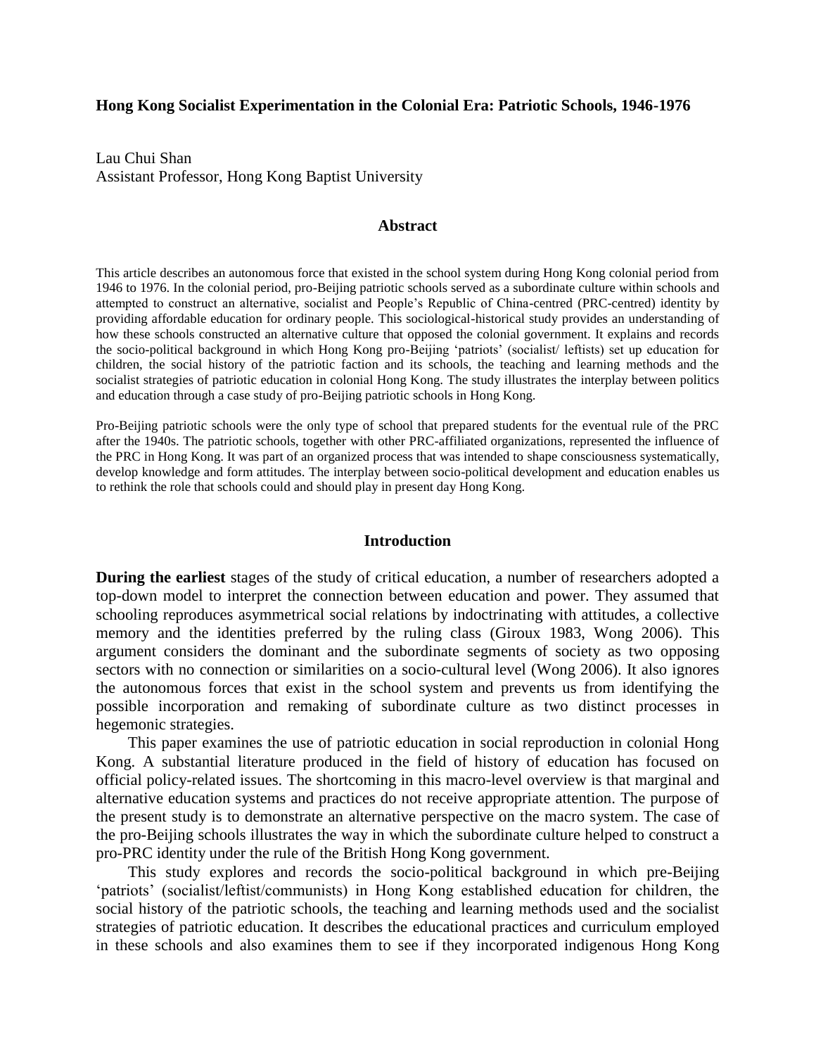## **Hong Kong Socialist Experimentation in the Colonial Era: Patriotic Schools, 1946-1976**

Lau Chui Shan Assistant Professor, Hong Kong Baptist University

#### **Abstract**

This article describes an autonomous force that existed in the school system during Hong Kong colonial period from 1946 to 1976. In the colonial period, pro-Beijing patriotic schools served as a subordinate culture within schools and attempted to construct an alternative, socialist and People's Republic of China-centred (PRC-centred) identity by providing affordable education for ordinary people. This sociological-historical study provides an understanding of how these schools constructed an alternative culture that opposed the colonial government. It explains and records the socio-political background in which Hong Kong pro-Beijing 'patriots' (socialist/ leftists) set up education for children, the social history of the patriotic faction and its schools, the teaching and learning methods and the socialist strategies of patriotic education in colonial Hong Kong. The study illustrates the interplay between politics and education through a case study of pro-Beijing patriotic schools in Hong Kong.

Pro-Beijing patriotic schools were the only type of school that prepared students for the eventual rule of the PRC after the 1940s. The patriotic schools, together with other PRC-affiliated organizations, represented the influence of the PRC in Hong Kong. It was part of an organized process that was intended to shape consciousness systematically, develop knowledge and form attitudes. The interplay between socio-political development and education enables us to rethink the role that schools could and should play in present day Hong Kong.

## **Introduction**

**During the earliest** stages of the study of critical education, a number of researchers adopted a top-down model to interpret the connection between education and power. They assumed that schooling reproduces asymmetrical social relations by indoctrinating with attitudes, a collective memory and the identities preferred by the ruling class (Giroux 1983, Wong 2006). This argument considers the dominant and the subordinate segments of society as two opposing sectors with no connection or similarities on a socio-cultural level (Wong 2006). It also ignores the autonomous forces that exist in the school system and prevents us from identifying the possible incorporation and remaking of subordinate culture as two distinct processes in hegemonic strategies.

This paper examines the use of patriotic education in social reproduction in colonial Hong Kong. A substantial literature produced in the field of history of education has focused on official policy-related issues. The shortcoming in this macro-level overview is that marginal and alternative education systems and practices do not receive appropriate attention. The purpose of the present study is to demonstrate an alternative perspective on the macro system. The case of the pro-Beijing schools illustrates the way in which the subordinate culture helped to construct a pro-PRC identity under the rule of the British Hong Kong government.

This study explores and records the socio-political background in which pre-Beijing 'patriots' (socialist/leftist/communists) in Hong Kong established education for children, the social history of the patriotic schools, the teaching and learning methods used and the socialist strategies of patriotic education. It describes the educational practices and curriculum employed in these schools and also examines them to see if they incorporated indigenous Hong Kong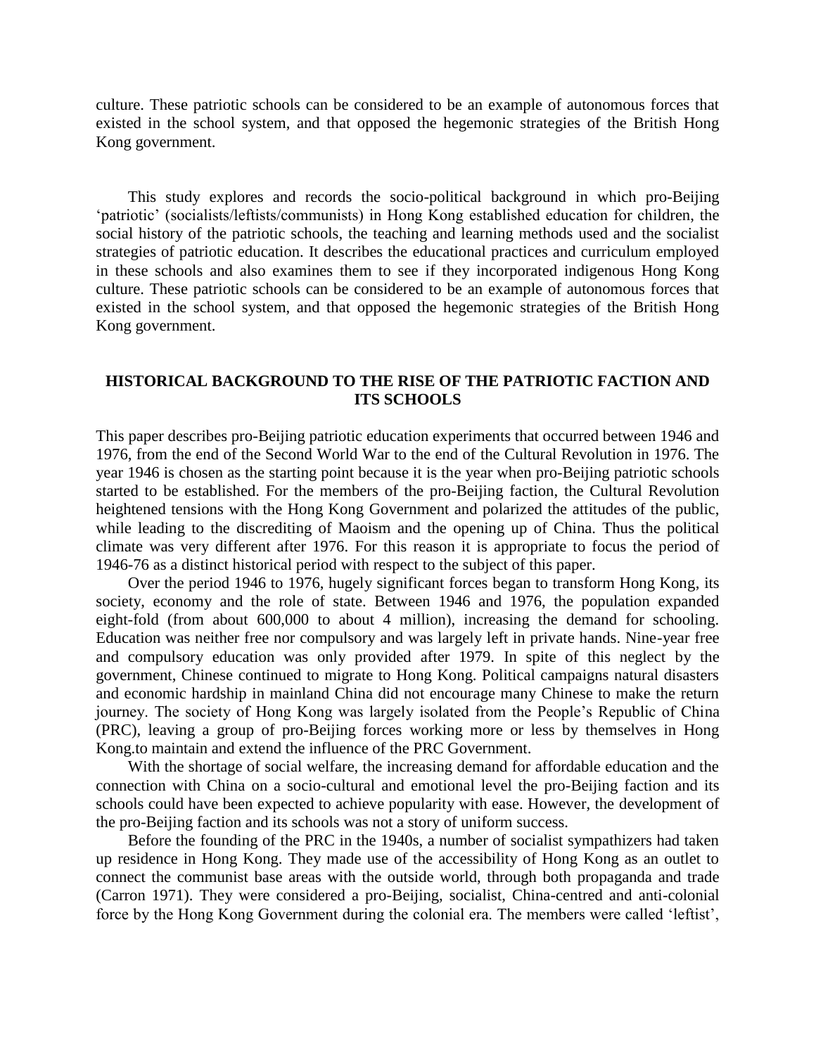culture. These patriotic schools can be considered to be an example of autonomous forces that existed in the school system, and that opposed the hegemonic strategies of the British Hong Kong government.

This study explores and records the socio-political background in which pro-Beijing 'patriotic' (socialists/leftists/communists) in Hong Kong established education for children, the social history of the patriotic schools, the teaching and learning methods used and the socialist strategies of patriotic education. It describes the educational practices and curriculum employed in these schools and also examines them to see if they incorporated indigenous Hong Kong culture. These patriotic schools can be considered to be an example of autonomous forces that existed in the school system, and that opposed the hegemonic strategies of the British Hong Kong government.

## **HISTORICAL BACKGROUND TO THE RISE OF THE PATRIOTIC FACTION AND ITS SCHOOLS**

This paper describes pro-Beijing patriotic education experiments that occurred between 1946 and 1976, from the end of the Second World War to the end of the Cultural Revolution in 1976. The year 1946 is chosen as the starting point because it is the year when pro-Beijing patriotic schools started to be established. For the members of the pro-Beijing faction, the Cultural Revolution heightened tensions with the Hong Kong Government and polarized the attitudes of the public, while leading to the discrediting of Maoism and the opening up of China. Thus the political climate was very different after 1976. For this reason it is appropriate to focus the period of 1946-76 as a distinct historical period with respect to the subject of this paper.

Over the period 1946 to 1976, hugely significant forces began to transform Hong Kong, its society, economy and the role of state. Between 1946 and 1976, the population expanded eight-fold (from about 600,000 to about 4 million), increasing the demand for schooling. Education was neither free nor compulsory and was largely left in private hands. Nine-year free and compulsory education was only provided after 1979. In spite of this neglect by the government, Chinese continued to migrate to Hong Kong. Political campaigns natural disasters and economic hardship in mainland China did not encourage many Chinese to make the return journey. The society of Hong Kong was largely isolated from the People's Republic of China (PRC), leaving a group of pro-Beijing forces working more or less by themselves in Hong Kong.to maintain and extend the influence of the PRC Government.

With the shortage of social welfare, the increasing demand for affordable education and the connection with China on a socio-cultural and emotional level the pro-Beijing faction and its schools could have been expected to achieve popularity with ease. However, the development of the pro-Beijing faction and its schools was not a story of uniform success.

Before the founding of the PRC in the 1940s, a number of socialist sympathizers had taken up residence in Hong Kong. They made use of the accessibility of Hong Kong as an outlet to connect the communist base areas with the outside world, through both propaganda and trade (Carron 1971). They were considered a pro-Beijing, socialist, China-centred and anti-colonial force by the Hong Kong Government during the colonial era. The members were called 'leftist',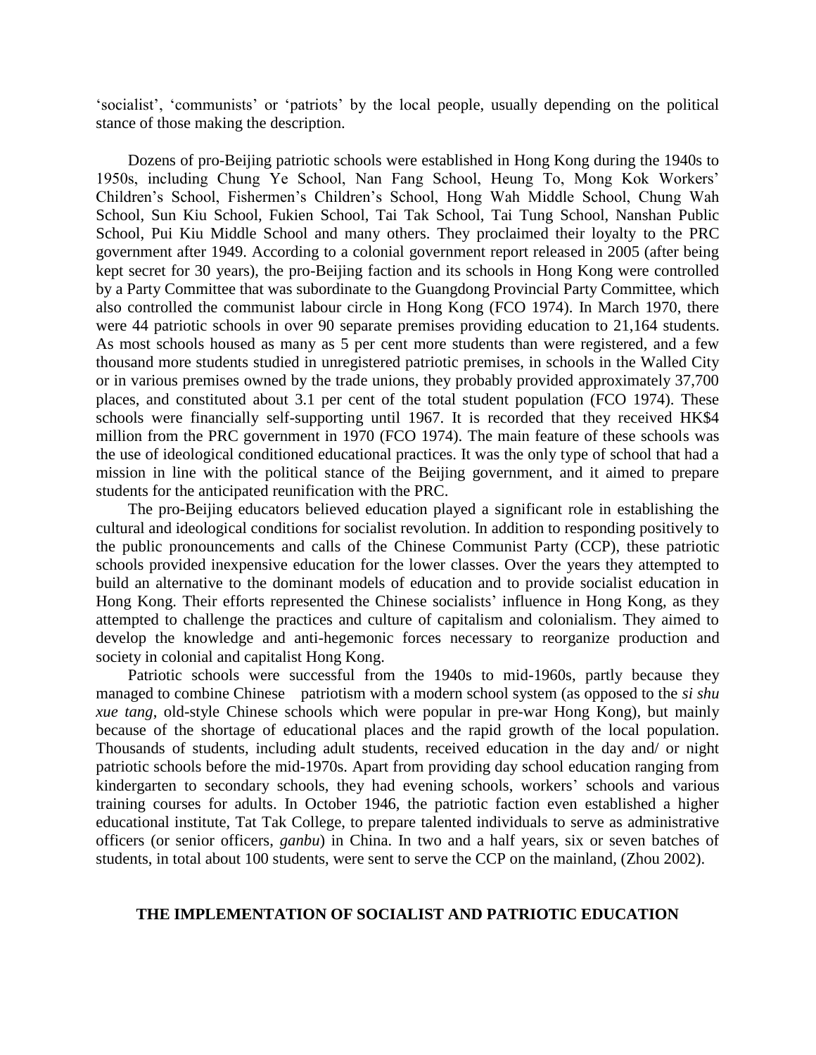'socialist', 'communists' or 'patriots' by the local people, usually depending on the political stance of those making the description.

Dozens of pro-Beijing patriotic schools were established in Hong Kong during the 1940s to 1950s, including Chung Ye School, Nan Fang School, Heung To, Mong Kok Workers' Children's School, Fishermen's Children's School, Hong Wah Middle School, Chung Wah School, Sun Kiu School, Fukien School, Tai Tak School, Tai Tung School, Nanshan Public School, Pui Kiu Middle School and many others. They proclaimed their loyalty to the PRC government after 1949. According to a colonial government report released in 2005 (after being kept secret for 30 years), the pro-Beijing faction and its schools in Hong Kong were controlled by a Party Committee that was subordinate to the Guangdong Provincial Party Committee, which also controlled the communist labour circle in Hong Kong (FCO 1974). In March 1970, there were 44 patriotic schools in over 90 separate premises providing education to 21,164 students. As most schools housed as many as 5 per cent more students than were registered, and a few thousand more students studied in unregistered patriotic premises, in schools in the Walled City or in various premises owned by the trade unions, they probably provided approximately 37,700 places, and constituted about 3.1 per cent of the total student population (FCO 1974). These schools were financially self-supporting until 1967. It is recorded that they received HK\$4 million from the PRC government in 1970 (FCO 1974). The main feature of these schools was the use of ideological conditioned educational practices. It was the only type of school that had a mission in line with the political stance of the Beijing government, and it aimed to prepare students for the anticipated reunification with the PRC.

The pro-Beijing educators believed education played a significant role in establishing the cultural and ideological conditions for socialist revolution. In addition to responding positively to the public pronouncements and calls of the Chinese Communist Party (CCP), these patriotic schools provided inexpensive education for the lower classes. Over the years they attempted to build an alternative to the dominant models of education and to provide socialist education in Hong Kong. Their efforts represented the Chinese socialists' influence in Hong Kong, as they attempted to challenge the practices and culture of capitalism and colonialism. They aimed to develop the knowledge and anti-hegemonic forces necessary to reorganize production and society in colonial and capitalist Hong Kong.

Patriotic schools were successful from the 1940s to mid-1960s, partly because they managed to combine Chinese patriotism with a modern school system (as opposed to the *si shu xue tang*, old-style Chinese schools which were popular in pre-war Hong Kong), but mainly because of the shortage of educational places and the rapid growth of the local population. Thousands of students, including adult students, received education in the day and/ or night patriotic schools before the mid-1970s. Apart from providing day school education ranging from kindergarten to secondary schools, they had evening schools, workers' schools and various training courses for adults. In October 1946, the patriotic faction even established a higher educational institute, Tat Tak College, to prepare talented individuals to serve as administrative officers (or senior officers, *ganbu*) in China. In two and a half years, six or seven batches of students, in total about 100 students, were sent to serve the CCP on the mainland, (Zhou 2002).

## **THE IMPLEMENTATION OF SOCIALIST AND PATRIOTIC EDUCATION**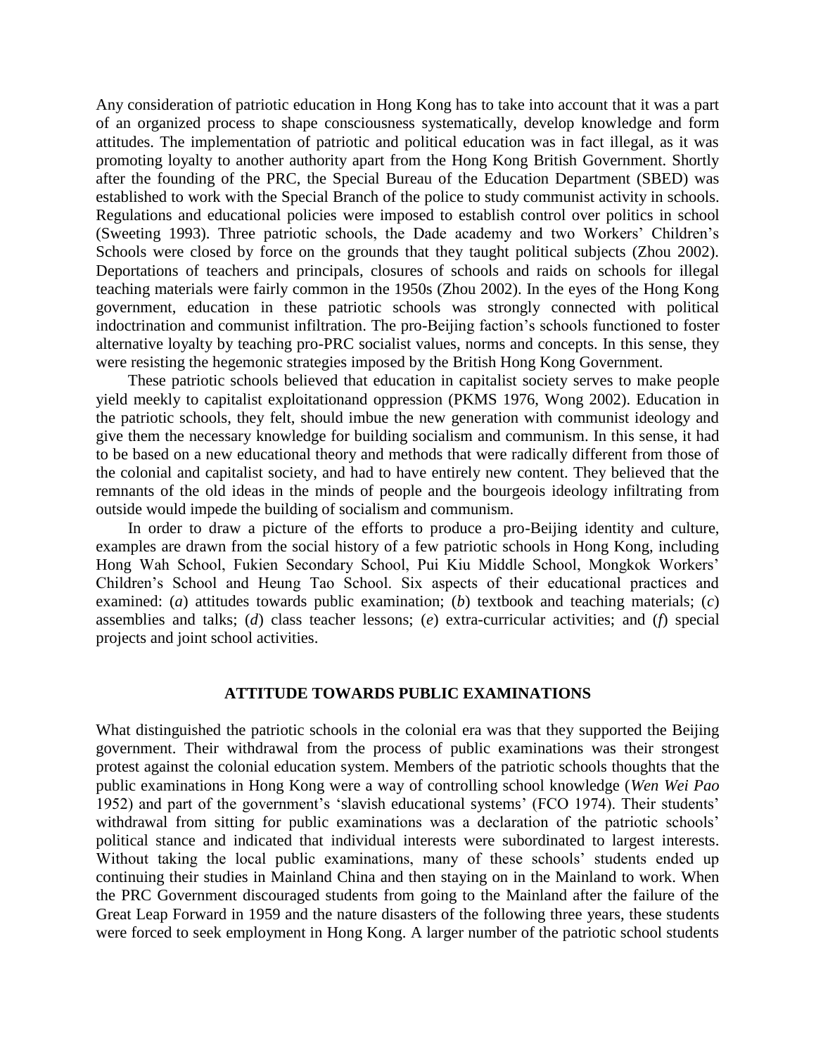Any consideration of patriotic education in Hong Kong has to take into account that it was a part of an organized process to shape consciousness systematically, develop knowledge and form attitudes. The implementation of patriotic and political education was in fact illegal, as it was promoting loyalty to another authority apart from the Hong Kong British Government. Shortly after the founding of the PRC, the Special Bureau of the Education Department (SBED) was established to work with the Special Branch of the police to study communist activity in schools. Regulations and educational policies were imposed to establish control over politics in school (Sweeting 1993). Three patriotic schools, the Dade academy and two Workers' Children's Schools were closed by force on the grounds that they taught political subjects (Zhou 2002). Deportations of teachers and principals, closures of schools and raids on schools for illegal teaching materials were fairly common in the 1950s (Zhou 2002). In the eyes of the Hong Kong government, education in these patriotic schools was strongly connected with political indoctrination and communist infiltration. The pro-Beijing faction's schools functioned to foster alternative loyalty by teaching pro-PRC socialist values, norms and concepts. In this sense, they were resisting the hegemonic strategies imposed by the British Hong Kong Government.

These patriotic schools believed that education in capitalist society serves to make people yield meekly to capitalist exploitationand oppression (PKMS 1976, Wong 2002). Education in the patriotic schools, they felt, should imbue the new generation with communist ideology and give them the necessary knowledge for building socialism and communism. In this sense, it had to be based on a new educational theory and methods that were radically different from those of the colonial and capitalist society, and had to have entirely new content. They believed that the remnants of the old ideas in the minds of people and the bourgeois ideology infiltrating from outside would impede the building of socialism and communism.

In order to draw a picture of the efforts to produce a pro-Beijing identity and culture, examples are drawn from the social history of a few patriotic schools in Hong Kong, including Hong Wah School, Fukien Secondary School, Pui Kiu Middle School, Mongkok Workers' Children's School and Heung Tao School. Six aspects of their educational practices and examined: (*a*) attitudes towards public examination; (*b*) textbook and teaching materials; (*c*) assemblies and talks; (*d*) class teacher lessons; (*e*) extra-curricular activities; and (*f*) special projects and joint school activities.

#### **ATTITUDE TOWARDS PUBLIC EXAMINATIONS**

What distinguished the patriotic schools in the colonial era was that they supported the Beijing government. Their withdrawal from the process of public examinations was their strongest protest against the colonial education system. Members of the patriotic schools thoughts that the public examinations in Hong Kong were a way of controlling school knowledge (*Wen Wei Pao* 1952) and part of the government's 'slavish educational systems' (FCO 1974). Their students' withdrawal from sitting for public examinations was a declaration of the patriotic schools' political stance and indicated that individual interests were subordinated to largest interests. Without taking the local public examinations, many of these schools' students ended up continuing their studies in Mainland China and then staying on in the Mainland to work. When the PRC Government discouraged students from going to the Mainland after the failure of the Great Leap Forward in 1959 and the nature disasters of the following three years, these students were forced to seek employment in Hong Kong. A larger number of the patriotic school students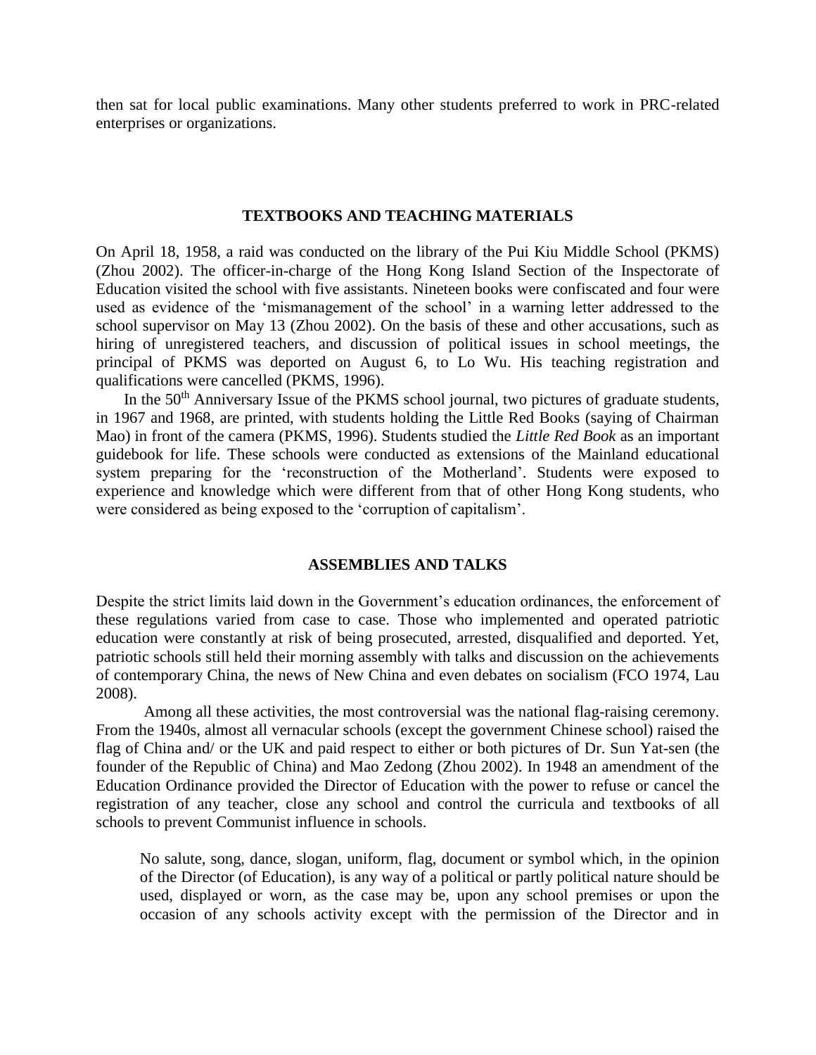then sat for local public examinations. Many other students preferred to work in PRC-related enterprises or organizations.

## **TEXTBOOKS AND TEACHING MATERIALS**

On April 18, 1958, a raid was conducted on the library of the Pui Kiu Middle School (PKMS) (Zhou 2002). The officer-in-charge of the Hong Kong Island Section of the Inspectorate of Education visited the school with five assistants. Nineteen books were confiscated and four were used as evidence of the 'mismanagement of the school' in a warning letter addressed to the school supervisor on May 13 (Zhou 2002). On the basis of these and other accusations, such as hiring of unregistered teachers, and discussion of political issues in school meetings, the principal of PKMS was deported on August 6, to Lo Wu. His teaching registration and qualifications were cancelled (PKMS, 1996).

In the 50<sup>th</sup> Anniversary Issue of the PKMS school journal, two pictures of graduate students, in 1967 and 1968, are printed, with students holding the Little Red Books (saying of Chairman Mao) in front of the camera (PKMS, 1996). Students studied the *Little Red Book* as an important guidebook for life. These schools were conducted as extensions of the Mainland educational system preparing for the 'reconstruction of the Motherland'. Students were exposed to experience and knowledge which were different from that of other Hong Kong students, who were considered as being exposed to the 'corruption of capitalism'.

## **ASSEMBLIES AND TALKS**

Despite the strict limits laid down in the Government's education ordinances, the enforcement of these regulations varied from case to case. Those who implemented and operated patriotic education were constantly at risk of being prosecuted, arrested, disqualified and deported. Yet, patriotic schools still held their morning assembly with talks and discussion on the achievements of contemporary China, the news of New China and even debates on socialism (FCO 1974, Lau 2008).

Among all these activities, the most controversial was the national flag-raising ceremony. From the 1940s, almost all vernacular schools (except the government Chinese school) raised the flag of China and/ or the UK and paid respect to either or both pictures of Dr. Sun Yat-sen (the founder of the Republic of China) and Mao Zedong (Zhou 2002). In 1948 an amendment of the Education Ordinance provided the Director of Education with the power to refuse or cancel the registration of any teacher, close any school and control the curricula and textbooks of all schools to prevent Communist influence in schools.

No salute, song, dance, slogan, uniform, flag, document or symbol which, in the opinion of the Director (of Education), is any way of a political or partly political nature should be used, displayed or worn, as the case may be, upon any school premises or upon the occasion of any schools activity except with the permission of the Director and in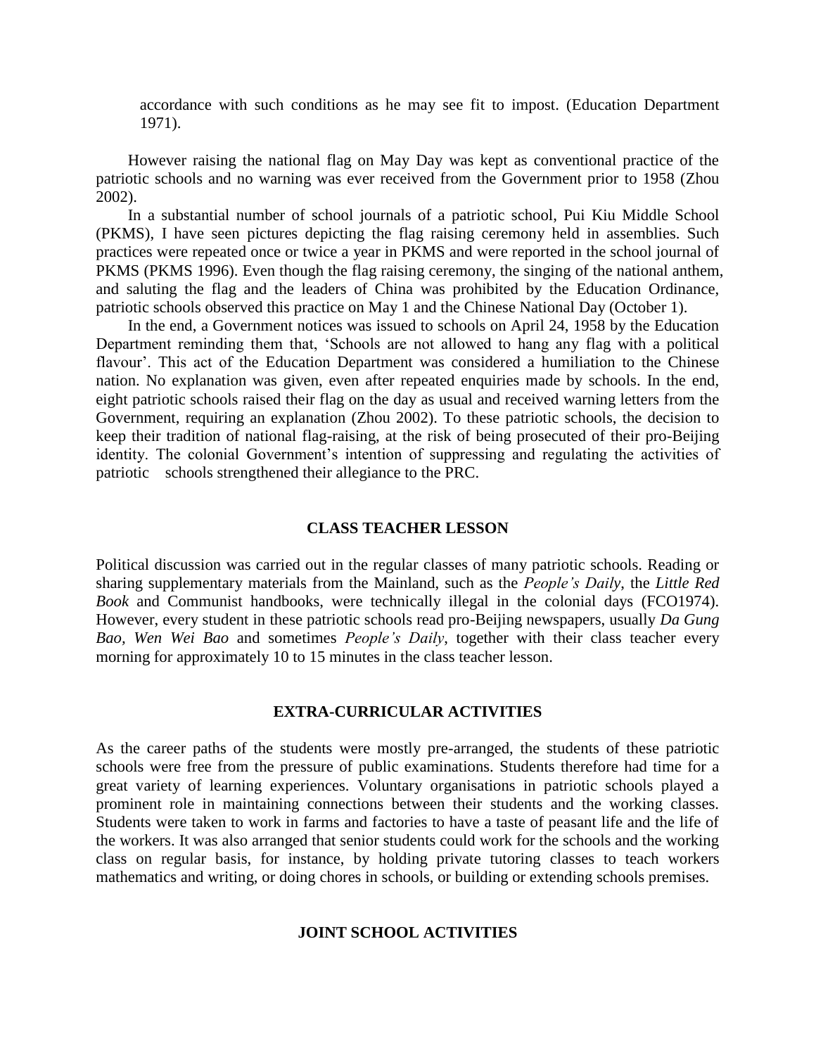accordance with such conditions as he may see fit to impost. (Education Department 1971).

However raising the national flag on May Day was kept as conventional practice of the patriotic schools and no warning was ever received from the Government prior to 1958 (Zhou 2002).

In a substantial number of school journals of a patriotic school, Pui Kiu Middle School (PKMS), I have seen pictures depicting the flag raising ceremony held in assemblies. Such practices were repeated once or twice a year in PKMS and were reported in the school journal of PKMS (PKMS 1996). Even though the flag raising ceremony, the singing of the national anthem, and saluting the flag and the leaders of China was prohibited by the Education Ordinance, patriotic schools observed this practice on May 1 and the Chinese National Day (October 1).

In the end, a Government notices was issued to schools on April 24, 1958 by the Education Department reminding them that, 'Schools are not allowed to hang any flag with a political flavour'. This act of the Education Department was considered a humiliation to the Chinese nation. No explanation was given, even after repeated enquiries made by schools. In the end, eight patriotic schools raised their flag on the day as usual and received warning letters from the Government, requiring an explanation (Zhou 2002). To these patriotic schools, the decision to keep their tradition of national flag-raising, at the risk of being prosecuted of their pro-Beijing identity. The colonial Government's intention of suppressing and regulating the activities of patriotic schools strengthened their allegiance to the PRC.

## **CLASS TEACHER LESSON**

Political discussion was carried out in the regular classes of many patriotic schools. Reading or sharing supplementary materials from the Mainland, such as the *People's Daily*, the *Little Red Book* and Communist handbooks, were technically illegal in the colonial days (FCO1974). However, every student in these patriotic schools read pro-Beijing newspapers, usually *Da Gung Bao, Wen Wei Bao* and sometimes *People's Daily*, together with their class teacher every morning for approximately 10 to 15 minutes in the class teacher lesson.

### **EXTRA-CURRICULAR ACTIVITIES**

As the career paths of the students were mostly pre-arranged, the students of these patriotic schools were free from the pressure of public examinations. Students therefore had time for a great variety of learning experiences. Voluntary organisations in patriotic schools played a prominent role in maintaining connections between their students and the working classes. Students were taken to work in farms and factories to have a taste of peasant life and the life of the workers. It was also arranged that senior students could work for the schools and the working class on regular basis, for instance, by holding private tutoring classes to teach workers mathematics and writing, or doing chores in schools, or building or extending schools premises.

## **JOINT SCHOOL ACTIVITIES**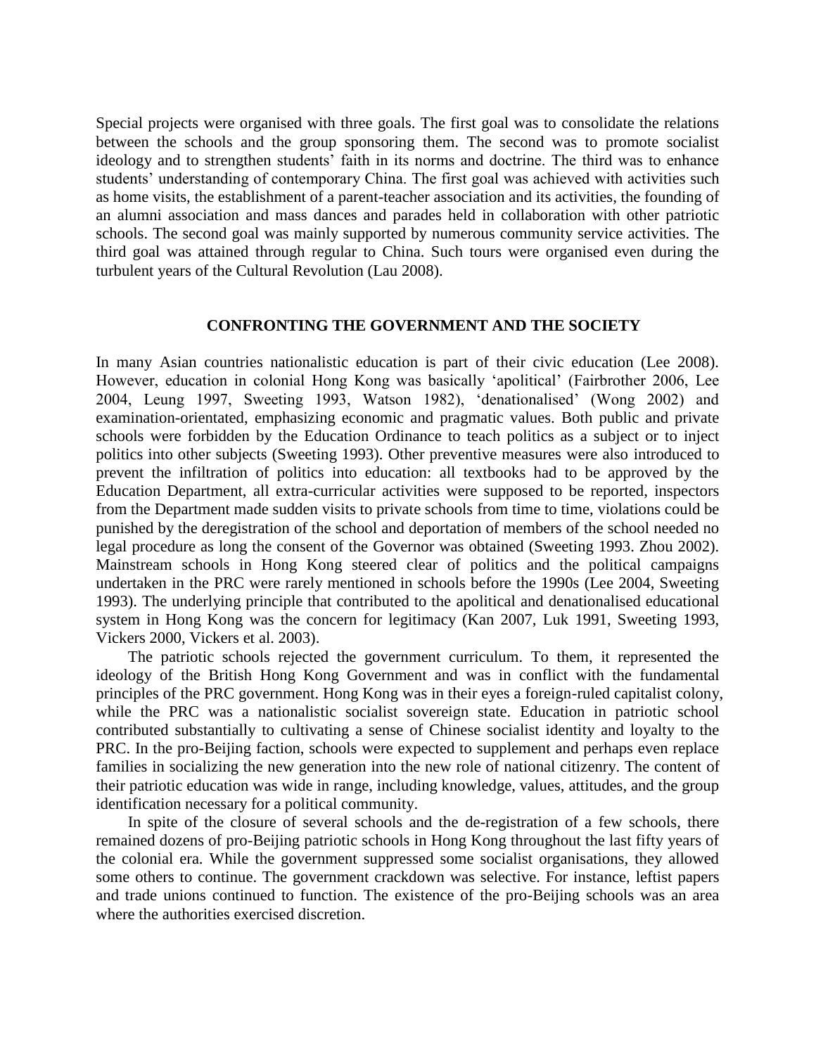Special projects were organised with three goals. The first goal was to consolidate the relations between the schools and the group sponsoring them. The second was to promote socialist ideology and to strengthen students' faith in its norms and doctrine. The third was to enhance students' understanding of contemporary China. The first goal was achieved with activities such as home visits, the establishment of a parent-teacher association and its activities, the founding of an alumni association and mass dances and parades held in collaboration with other patriotic schools. The second goal was mainly supported by numerous community service activities. The third goal was attained through regular to China. Such tours were organised even during the turbulent years of the Cultural Revolution (Lau 2008).

## **CONFRONTING THE GOVERNMENT AND THE SOCIETY**

In many Asian countries nationalistic education is part of their civic education (Lee 2008). However, education in colonial Hong Kong was basically 'apolitical' (Fairbrother 2006, Lee 2004, Leung 1997, Sweeting 1993, Watson 1982), 'denationalised' (Wong 2002) and examination-orientated, emphasizing economic and pragmatic values. Both public and private schools were forbidden by the Education Ordinance to teach politics as a subject or to inject politics into other subjects (Sweeting 1993). Other preventive measures were also introduced to prevent the infiltration of politics into education: all textbooks had to be approved by the Education Department, all extra-curricular activities were supposed to be reported, inspectors from the Department made sudden visits to private schools from time to time, violations could be punished by the deregistration of the school and deportation of members of the school needed no legal procedure as long the consent of the Governor was obtained (Sweeting 1993. Zhou 2002). Mainstream schools in Hong Kong steered clear of politics and the political campaigns undertaken in the PRC were rarely mentioned in schools before the 1990s (Lee 2004, Sweeting 1993). The underlying principle that contributed to the apolitical and denationalised educational system in Hong Kong was the concern for legitimacy (Kan 2007, Luk 1991, Sweeting 1993, Vickers 2000, Vickers et al. 2003).

The patriotic schools rejected the government curriculum. To them, it represented the ideology of the British Hong Kong Government and was in conflict with the fundamental principles of the PRC government. Hong Kong was in their eyes a foreign-ruled capitalist colony, while the PRC was a nationalistic socialist sovereign state. Education in patriotic school contributed substantially to cultivating a sense of Chinese socialist identity and loyalty to the PRC. In the pro-Beijing faction, schools were expected to supplement and perhaps even replace families in socializing the new generation into the new role of national citizenry. The content of their patriotic education was wide in range, including knowledge, values, attitudes, and the group identification necessary for a political community.

In spite of the closure of several schools and the de-registration of a few schools, there remained dozens of pro-Beijing patriotic schools in Hong Kong throughout the last fifty years of the colonial era. While the government suppressed some socialist organisations, they allowed some others to continue. The government crackdown was selective. For instance, leftist papers and trade unions continued to function. The existence of the pro-Beijing schools was an area where the authorities exercised discretion.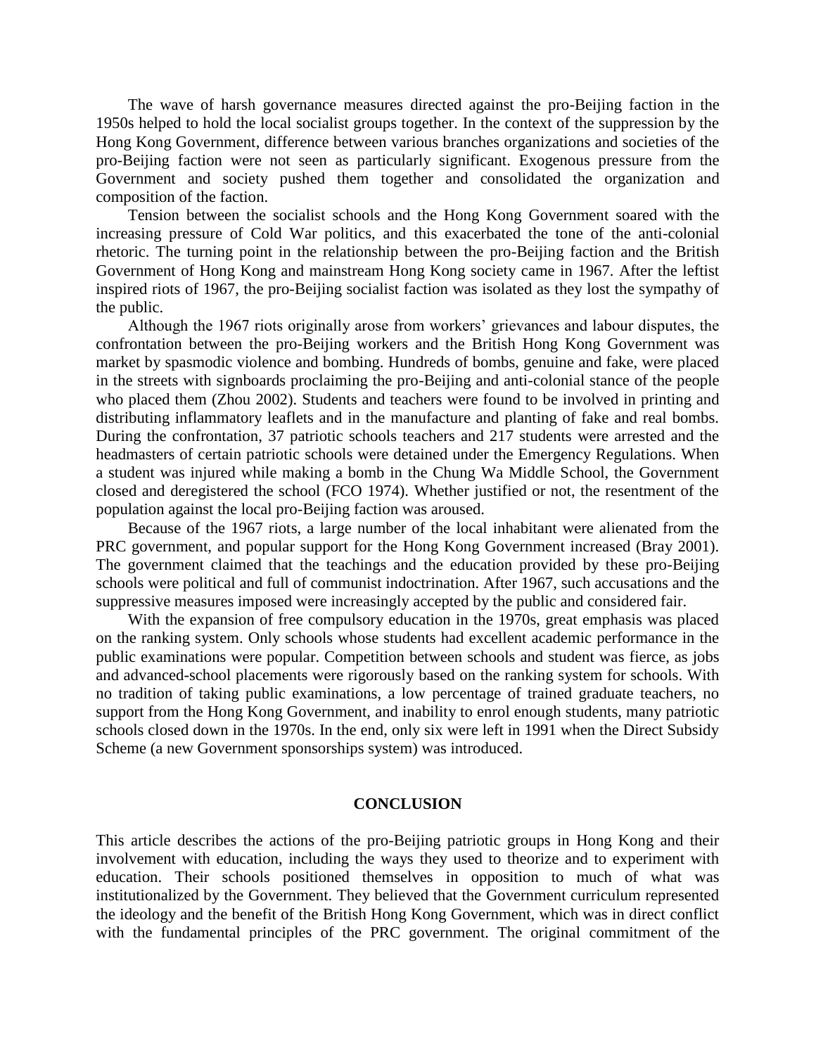The wave of harsh governance measures directed against the pro-Beijing faction in the 1950s helped to hold the local socialist groups together. In the context of the suppression by the Hong Kong Government, difference between various branches organizations and societies of the pro-Beijing faction were not seen as particularly significant. Exogenous pressure from the Government and society pushed them together and consolidated the organization and composition of the faction.

Tension between the socialist schools and the Hong Kong Government soared with the increasing pressure of Cold War politics, and this exacerbated the tone of the anti-colonial rhetoric. The turning point in the relationship between the pro-Beijing faction and the British Government of Hong Kong and mainstream Hong Kong society came in 1967. After the leftist inspired riots of 1967, the pro-Beijing socialist faction was isolated as they lost the sympathy of the public.

Although the 1967 riots originally arose from workers' grievances and labour disputes, the confrontation between the pro-Beijing workers and the British Hong Kong Government was market by spasmodic violence and bombing. Hundreds of bombs, genuine and fake, were placed in the streets with signboards proclaiming the pro-Beijing and anti-colonial stance of the people who placed them (Zhou 2002). Students and teachers were found to be involved in printing and distributing inflammatory leaflets and in the manufacture and planting of fake and real bombs. During the confrontation, 37 patriotic schools teachers and 217 students were arrested and the headmasters of certain patriotic schools were detained under the Emergency Regulations. When a student was injured while making a bomb in the Chung Wa Middle School, the Government closed and deregistered the school (FCO 1974). Whether justified or not, the resentment of the population against the local pro-Beijing faction was aroused.

Because of the 1967 riots, a large number of the local inhabitant were alienated from the PRC government, and popular support for the Hong Kong Government increased (Bray 2001). The government claimed that the teachings and the education provided by these pro-Beijing schools were political and full of communist indoctrination. After 1967, such accusations and the suppressive measures imposed were increasingly accepted by the public and considered fair.

With the expansion of free compulsory education in the 1970s, great emphasis was placed on the ranking system. Only schools whose students had excellent academic performance in the public examinations were popular. Competition between schools and student was fierce, as jobs and advanced-school placements were rigorously based on the ranking system for schools. With no tradition of taking public examinations, a low percentage of trained graduate teachers, no support from the Hong Kong Government, and inability to enrol enough students, many patriotic schools closed down in the 1970s. In the end, only six were left in 1991 when the Direct Subsidy Scheme (a new Government sponsorships system) was introduced.

#### **CONCLUSION**

This article describes the actions of the pro-Beijing patriotic groups in Hong Kong and their involvement with education, including the ways they used to theorize and to experiment with education. Their schools positioned themselves in opposition to much of what was institutionalized by the Government. They believed that the Government curriculum represented the ideology and the benefit of the British Hong Kong Government, which was in direct conflict with the fundamental principles of the PRC government. The original commitment of the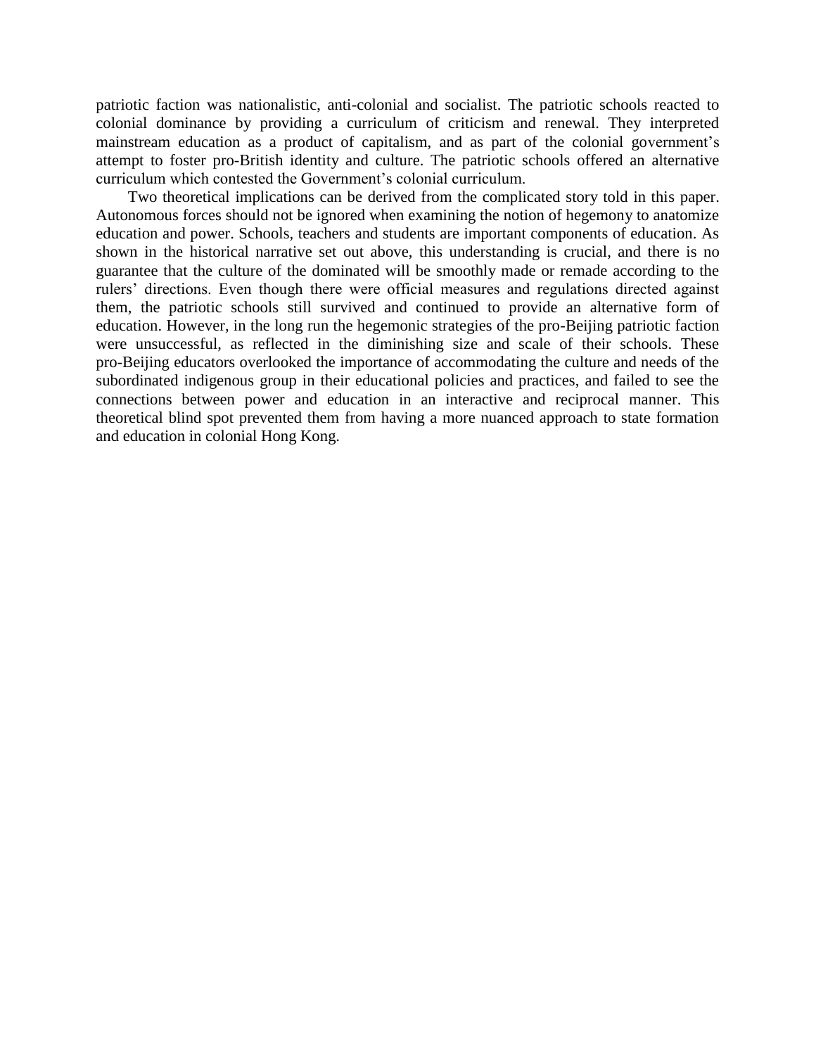patriotic faction was nationalistic, anti-colonial and socialist. The patriotic schools reacted to colonial dominance by providing a curriculum of criticism and renewal. They interpreted mainstream education as a product of capitalism, and as part of the colonial government's attempt to foster pro-British identity and culture. The patriotic schools offered an alternative curriculum which contested the Government's colonial curriculum.

Two theoretical implications can be derived from the complicated story told in this paper. Autonomous forces should not be ignored when examining the notion of hegemony to anatomize education and power. Schools, teachers and students are important components of education. As shown in the historical narrative set out above, this understanding is crucial, and there is no guarantee that the culture of the dominated will be smoothly made or remade according to the rulers' directions. Even though there were official measures and regulations directed against them, the patriotic schools still survived and continued to provide an alternative form of education. However, in the long run the hegemonic strategies of the pro-Beijing patriotic faction were unsuccessful, as reflected in the diminishing size and scale of their schools. These pro-Beijing educators overlooked the importance of accommodating the culture and needs of the subordinated indigenous group in their educational policies and practices, and failed to see the connections between power and education in an interactive and reciprocal manner. This theoretical blind spot prevented them from having a more nuanced approach to state formation and education in colonial Hong Kong.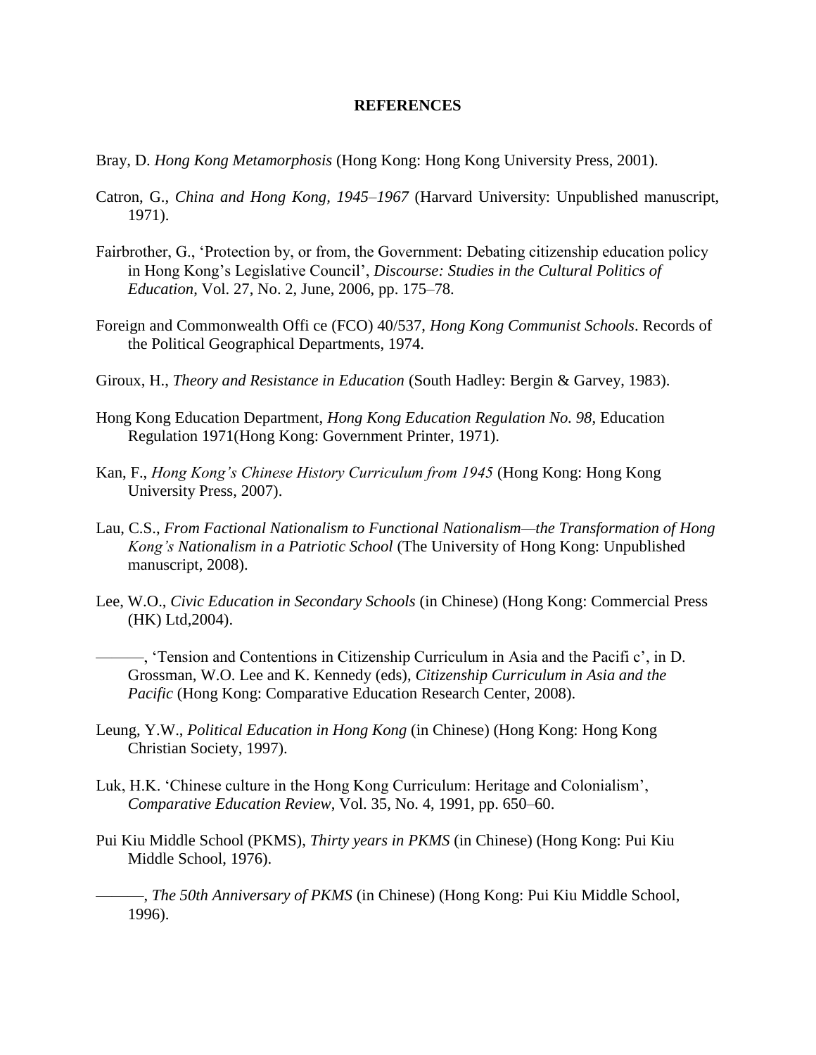## **REFERENCES**

- Bray, D. *Hong Kong Metamorphosis* (Hong Kong: Hong Kong University Press, 2001).
- Catron, G., *China and Hong Kong, 1945–1967* (Harvard University: Unpublished manuscript, 1971).
- Fairbrother, G., 'Protection by, or from, the Government: Debating citizenship education policy in Hong Kong's Legislative Council', *Discourse: Studies in the Cultural Politics of Education*, Vol. 27, No. 2, June, 2006, pp. 175–78.
- Foreign and Commonwealth Offi ce (FCO) 40/537, *Hong Kong Communist Schools*. Records of the Political Geographical Departments, 1974.
- Giroux, H., *Theory and Resistance in Education* (South Hadley: Bergin & Garvey, 1983).
- Hong Kong Education Department, *Hong Kong Education Regulation No. 98*, Education Regulation 1971(Hong Kong: Government Printer, 1971).
- Kan, F., *Hong Kong's Chinese History Curriculum from 1945* (Hong Kong: Hong Kong University Press, 2007).
- Lau, C.S., *From Factional Nationalism to Functional Nationalism—the Transformation of Hong Kong's Nationalism in a Patriotic School* (The University of Hong Kong: Unpublished manuscript, 2008).
- Lee, W.O., *Civic Education in Secondary Schools* (in Chinese) (Hong Kong: Commercial Press (HK) Ltd,2004).
- ———, 'Tension and Contentions in Citizenship Curriculum in Asia and the Pacifi c', in D. Grossman, W.O. Lee and K. Kennedy (eds), *Citizenship Curriculum in Asia and the Pacific* (Hong Kong: Comparative Education Research Center, 2008).
- Leung, Y.W., *Political Education in Hong Kong* (in Chinese) (Hong Kong: Hong Kong Christian Society, 1997).
- Luk, H.K. 'Chinese culture in the Hong Kong Curriculum: Heritage and Colonialism', *Comparative Education Review*, Vol. 35, No. 4, 1991, pp. 650–60.
- Pui Kiu Middle School (PKMS), *Thirty years in PKMS* (in Chinese) (Hong Kong: Pui Kiu Middle School, 1976).
	- ———, *The 50th Anniversary of PKMS* (in Chinese) (Hong Kong: Pui Kiu Middle School, 1996).